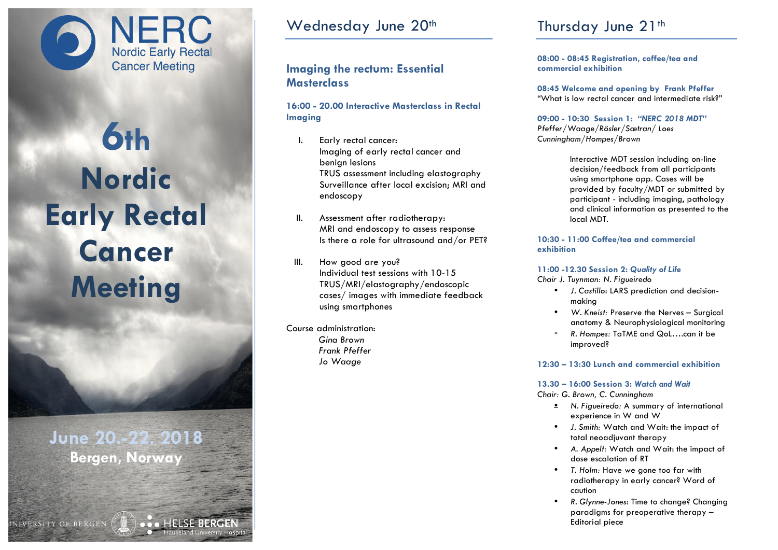NERC<br>Nordic Early Rectal **Cancer Meeting** 

# **6th Nordic Early Rectal Cancer Meeting**

**June 20.-22. 2018 Bergen, Norway**

NIVERSITY OF BERGEN

Wednesday June 20th

# **Imaging the rectum: Essential Masterclass**

## **16:00 - 20.00 Interactive Masterclass in Rectal Imaging**

- I. Early rectal cancer: Imaging of early rectal cancer and benign lesions TRUS assessment including elastography Surveillance after local excision; MRI and endoscopy
- II. Assessment after radiotherapy: MRI and endoscopy to assess response Is there a role for ultrasound and/or PET?
- III. How good are you? Individual test sessions with 10-15 TRUS/MRI/elastography/endoscopic cases/ images with immediate feedback using smartphones

Course administration: *Gina Brown Frank Pfeffer Jo Waage*

# Thursday June 21<sup>th</sup>

**08:00 - 08:45 Registration, coffee/tea and commercial exhibition**

**08:45 Welcome and opening by Frank Pfeffer** "What is low rectal cancer and intermediate risk?"

**09:00 - 10:30 Session 1:** *"NERC 2018 MDT" Pfeffer/Waage/Rösler/Sætran/ Loes Cunningham/Hompes/Brown*

> Interactive MDT session including on-line decision/feedback from all participants using smartphone app. Cases will be provided by faculty/MDT or submitted by participant - including imaging, pathology and clinical information as presented to the local MDT.

#### **10:30 - 11:00 Coffee/tea and commercial exhibition**

## **11:00 -12.30 Session 2:** *Quality of Life*

*Chair J. Tuynman: N. Figueiredo*

- *J. Castillo*: LARS prediction and decisionmaking
- *W. Kneist:* Preserve the Nerves Surgical anatomy & Neurophysiological monitoring
- *R. Hompes:* TaTME and QoL….can it be improved?

## **12:30 – 13:30 Lunch and commercial exhibition**

# **13.30 – 16:00 Session 3:** *Watch and Wait*

*Chair: G. Brown, C. Cunningham*

- *N. Figueiredo:* A summary of international experience in W and W
- *J. Smith:* Watch and Wait: the impact of total neoadjuvant therapy
- *A. Appelt:* Watch and Wait: the impact of dose escalation of RT
- *T. Holm:* Have we gone too far with radiotherapy in early cancer? Word of caution
- *R. Glynne-Jones*: Time to change? Changing paradigms for preoperative therapy – Editorial piece